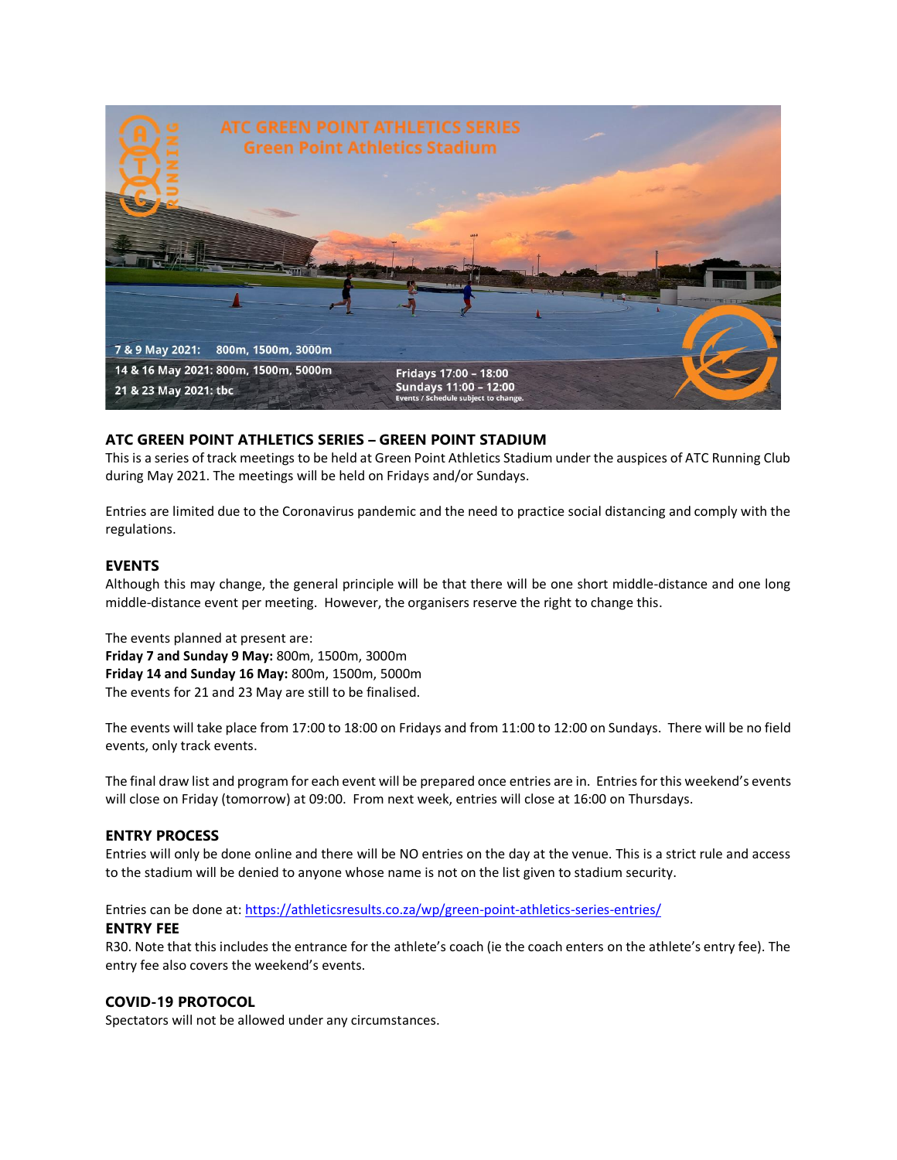

# **ATC GREEN POINT ATHLETICS SERIES – GREEN POINT STADIUM**

This is a series of track meetings to be held at Green Point Athletics Stadium under the auspices of ATC Running Club during May 2021. The meetings will be held on Fridays and/or Sundays.

Entries are limited due to the Coronavirus pandemic and the need to practice social distancing and comply with the regulations.

### **EVENTS**

Although this may change, the general principle will be that there will be one short middle-distance and one long middle-distance event per meeting. However, the organisers reserve the right to change this.

The events planned at present are: **Friday 7 and Sunday 9 May:** 800m, 1500m, 3000m **Friday 14 and Sunday 16 May:** 800m, 1500m, 5000m The events for 21 and 23 May are still to be finalised.

The events will take place from 17:00 to 18:00 on Fridays and from 11:00 to 12:00 on Sundays. There will be no field events, only track events.

The final draw list and program for each event will be prepared once entries are in. Entries for this weekend's events will close on Friday (tomorrow) at 09:00. From next week, entries will close at 16:00 on Thursdays.

#### **ENTRY PROCESS**

Entries will only be done online and there will be NO entries on the day at the venue. This is a strict rule and access to the stadium will be denied to anyone whose name is not on the list given to stadium security.

Entries can be done at: <https://athleticsresults.co.za/wp/green-point-athletics-series-entries/>

#### **ENTRY FEE**

R30. Note that this includes the entrance for the athlete's coach (ie the coach enters on the athlete's entry fee). The entry fee also covers the weekend's events.

## **COVID-19 PROTOCOL**

Spectators will not be allowed under any circumstances.